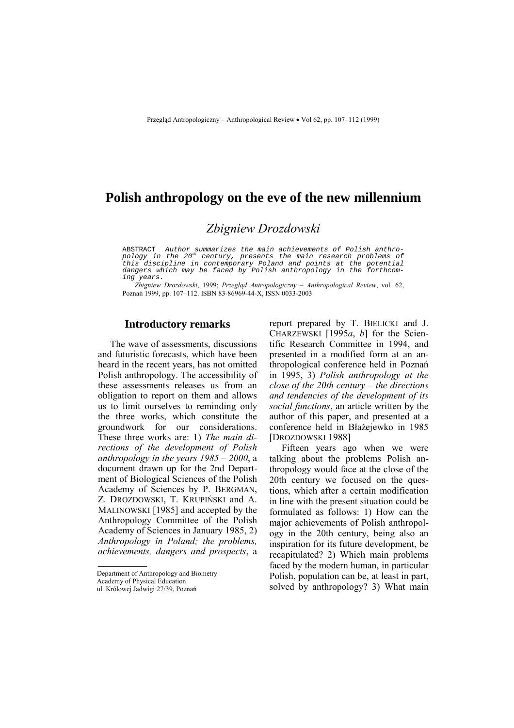# **Polish anthropology on the eve of the new millennium**

# *Zbigniew Drozdowski*

ABSTRACT Author summarizes the main achievements of Polish anthro-<br>pology in the 20<sup>th</sup> century, presents the main research problems of this discipline in contemporary Poland and points at the potential dangers which may be faced by Polish anthropology in the forthcoming years.

*Zbigniew Drozdowski*, 1999; *Przegląd Antropologiczny ñ Anthropological Review*, vol. 62, Poznań 1999, pp. 107-112. ISBN 83-86969-44-X, ISSN 0033-2003

### **Introductory remarks**

The wave of assessments, discussions and futuristic forecasts, which have been heard in the recent years, has not omitted Polish anthropology. The accessibility of these assessments releases us from an obligation to report on them and allows us to limit ourselves to reminding only the three works, which constitute the groundwork for our considerations. These three works are: 1) *The main directions of the development of Polish anthropology in the years*  $1985 - 2000$ *, a* document drawn up for the 2nd Department of Biological Sciences of the Polish Academy of Sciences by P. BERGMAN, Z. DROZDOWSKI, T. KRUPIŃSKI and A. MALINOWSKI [1985] and accepted by the Anthropology Committee of the Polish Academy of Sciences in January 1985, 2) *Anthropology in Poland; the problems, achievements, dangers and prospects*, a

Department of Anthropology and Biometry

report prepared by T. BIELICKI and J. CHARZEWSKI [1995*a*, *b*] for the Scientific Research Committee in 1994, and presented in a modified form at an anthropological conference held in Poznań in 1995, 3) *Polish anthropology at the close of the 20th century – the directions and tendencies of the development of its social functions*, an article written by the author of this paper, and presented at a conference held in Błażejewko in 1985 [DROZDOWSKI 1988]

Fifteen years ago when we were talking about the problems Polish anthropology would face at the close of the 20th century we focused on the questions, which after a certain modification in line with the present situation could be formulated as follows: 1) How can the major achievements of Polish anthropology in the 20th century, being also an inspiration for its future development, be recapitulated? 2) Which main problems faced by the modern human, in particular Polish, population can be, at least in part, solved by anthropology? 3) What main

Academy of Physical Education

ul. Królowej Jadwigi 27/39, Poznań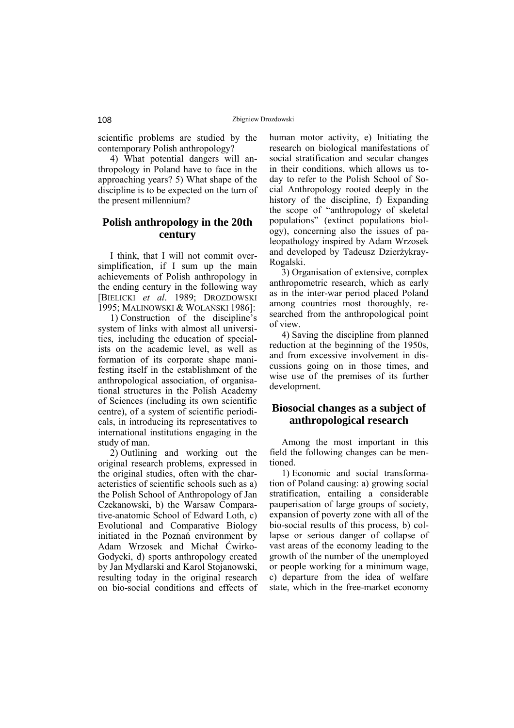scientific problems are studied by the contemporary Polish anthropology?

4) What potential dangers will anthropology in Poland have to face in the approaching years? 5) What shape of the discipline is to be expected on the turn of the present millennium?

## **Polish anthropology in the 20th century**

I think, that I will not commit oversimplification, if I sum up the main achievements of Polish anthropology in the ending century in the following way [BIELICKI *et al*. 1989; DROZDOWSKI 1995; MALINOWSKI & WOLAŃSKI 1986]:

1) Construction of the discipline's system of links with almost all universities, including the education of specialists on the academic level, as well as formation of its corporate shape manifesting itself in the establishment of the anthropological association, of organisational structures in the Polish Academy of Sciences (including its own scientific centre), of a system of scientific periodicals, in introducing its representatives to international institutions engaging in the study of man.

2) Outlining and working out the original research problems, expressed in the original studies, often with the characteristics of scientific schools such as a) the Polish School of Anthropology of Jan Czekanowski, b) the Warsaw Comparative-anatomic School of Edward Loth, c) Evolutional and Comparative Biology initiated in the Poznań environment by Adam Wrzosek and Michał Ćwirko-Godycki, d) sports anthropology created by Jan Mydlarski and Karol Stojanowski, resulting today in the original research on bio-social conditions and effects of

human motor activity, e) Initiating the research on biological manifestations of social stratification and secular changes in their conditions, which allows us today to refer to the Polish School of Social Anthropology rooted deeply in the history of the discipline, f) Expanding the scope of "anthropology of skeletal" populations" (extinct populations biology), concerning also the issues of paleopathology inspired by Adam Wrzosek and developed by Tadeusz Dzierżykray-Rogalski.

3) Organisation of extensive, complex anthropometric research, which as early as in the inter-war period placed Poland among countries most thoroughly, researched from the anthropological point of view.

4) Saving the discipline from planned reduction at the beginning of the 1950s, and from excessive involvement in discussions going on in those times, and wise use of the premises of its further development.

# **Biosocial changes as a subject of anthropological research**

Among the most important in this field the following changes can be mentioned.

1) Economic and social transformation of Poland causing: a) growing social stratification, entailing a considerable pauperisation of large groups of society, expansion of poverty zone with all of the bio-social results of this process, b) collapse or serious danger of collapse of vast areas of the economy leading to the growth of the number of the unemployed or people working for a minimum wage, c) departure from the idea of welfare state, which in the free-market economy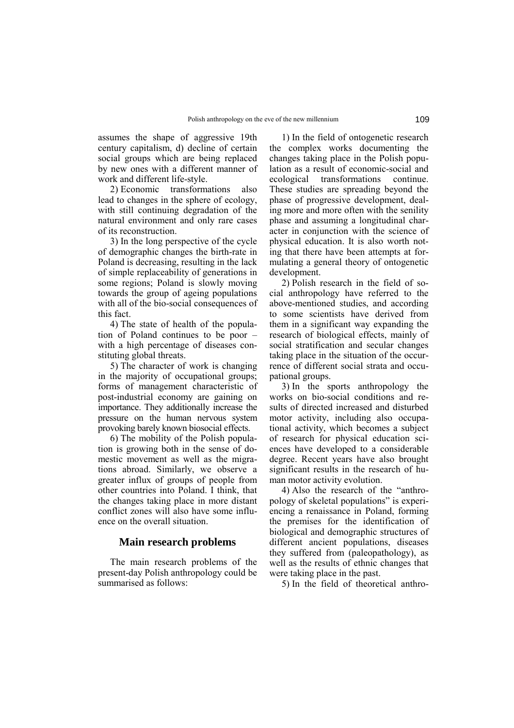assumes the shape of aggressive 19th century capitalism, d) decline of certain social groups which are being replaced by new ones with a different manner of work and different life-style.

2) Economic transformations also lead to changes in the sphere of ecology, with still continuing degradation of the natural environment and only rare cases of its reconstruction.

3) In the long perspective of the cycle of demographic changes the birth-rate in Poland is decreasing, resulting in the lack of simple replaceability of generations in some regions; Poland is slowly moving towards the group of ageing populations with all of the bio-social consequences of this fact.

4) The state of health of the population of Poland continues to be poor  $-\frac{1}{2}$ with a high percentage of diseases constituting global threats.

5) The character of work is changing in the majority of occupational groups; forms of management characteristic of post-industrial economy are gaining on importance. They additionally increase the pressure on the human nervous system provoking barely known biosocial effects.

6) The mobility of the Polish population is growing both in the sense of domestic movement as well as the migrations abroad. Similarly, we observe a greater influx of groups of people from other countries into Poland. I think, that the changes taking place in more distant conflict zones will also have some influence on the overall situation.

#### **Main research problems**

The main research problems of the present-day Polish anthropology could be summarised as follows:

1) In the field of ontogenetic research the complex works documenting the changes taking place in the Polish population as a result of economic-social and ecological transformations continue. These studies are spreading beyond the phase of progressive development, dealing more and more often with the senility phase and assuming a longitudinal character in conjunction with the science of physical education. It is also worth noting that there have been attempts at formulating a general theory of ontogenetic development.

2) Polish research in the field of social anthropology have referred to the above-mentioned studies, and according to some scientists have derived from them in a significant way expanding the research of biological effects, mainly of social stratification and secular changes taking place in the situation of the occurrence of different social strata and occupational groups.

3) In the sports anthropology the works on bio-social conditions and results of directed increased and disturbed motor activity, including also occupational activity, which becomes a subject of research for physical education sciences have developed to a considerable degree. Recent years have also brought significant results in the research of human motor activity evolution.

4) Also the research of the "anthropology of skeletal populations" is experiencing a renaissance in Poland, forming the premises for the identification of biological and demographic structures of different ancient populations, diseases they suffered from (paleopathology), as well as the results of ethnic changes that were taking place in the past.

5) In the field of theoretical anthro-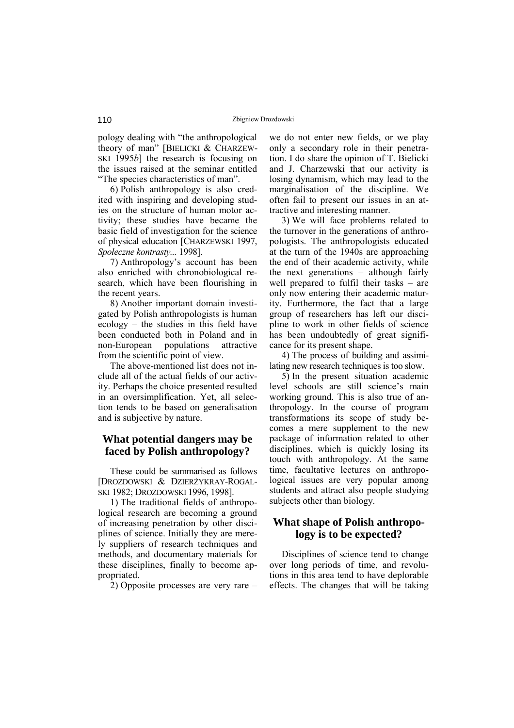pology dealing with "the anthropological theory of man" [BIELICKI  $&$  CHARZEW-SKI 1995*b*] the research is focusing on the issues raised at the seminar entitled "The species characteristics of man".

6) Polish anthropology is also credited with inspiring and developing studies on the structure of human motor activity; these studies have became the basic field of investigation for the science of physical education [CHARZEWSKI 1997, *Społeczne kontrasty...* 1998].

7) Anthropology's account has been also enriched with chronobiological research, which have been flourishing in the recent years.

8) Another important domain investigated by Polish anthropologists is human ecology  $-$  the studies in this field have been conducted both in Poland and in<br>non-European populations attractive non-European populations attractive from the scientific point of view.

The above-mentioned list does not include all of the actual fields of our activity. Perhaps the choice presented resulted in an oversimplification. Yet, all selection tends to be based on generalisation and is subjective by nature.

## **What potential dangers may be faced by Polish anthropology?**

These could be summarised as follows [DROZDOWSKI & DZIERŻYKRAY-ROGAL-SKI 1982; DROZDOWSKI 1996, 1998].

1) The traditional fields of anthropological research are becoming a ground of increasing penetration by other disciplines of science. Initially they are merely suppliers of research techniques and methods, and documentary materials for these disciplines, finally to become appropriated.

 $2)$  Opposite processes are very rare  $-$ 

we do not enter new fields, or we play only a secondary role in their penetration. I do share the opinion of T. Bielicki and J. Charzewski that our activity is losing dynamism, which may lead to the marginalisation of the discipline. We often fail to present our issues in an attractive and interesting manner.

3) We will face problems related to the turnover in the generations of anthropologists. The anthropologists educated at the turn of the 1940s are approaching the end of their academic activity, while the next generations  $-$  although fairly well prepared to fulfil their tasks  $-$  are only now entering their academic maturity. Furthermore, the fact that a large group of researchers has left our discipline to work in other fields of science has been undoubtedly of great significance for its present shape.

4) The process of building and assimilating new research techniques is too slow.

5) In the present situation academic level schools are still science's main working ground. This is also true of anthropology. In the course of program transformations its scope of study becomes a mere supplement to the new package of information related to other disciplines, which is quickly losing its touch with anthropology. At the same time, facultative lectures on anthropological issues are very popular among students and attract also people studying subjects other than biology.

## **What shape of Polish anthropology is to be expected?**

Disciplines of science tend to change over long periods of time, and revolutions in this area tend to have deplorable effects. The changes that will be taking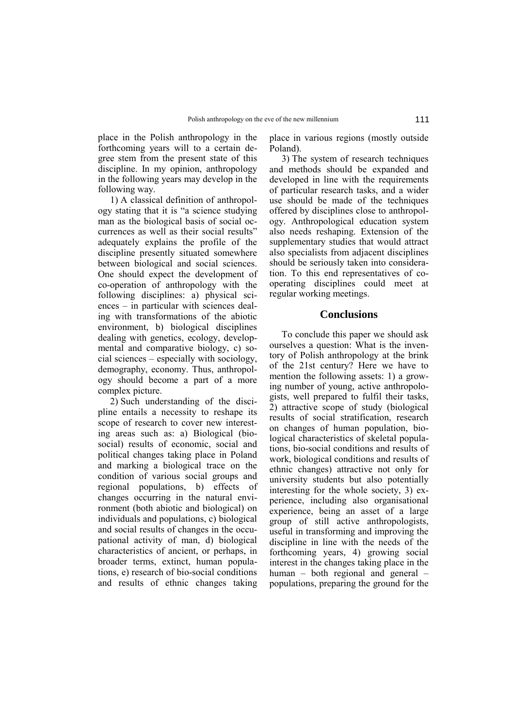place in the Polish anthropology in the forthcoming years will to a certain degree stem from the present state of this discipline. In my opinion, anthropology in the following years may develop in the following way.

1) A classical definition of anthropology stating that it is "a science studying man as the biological basis of social occurrences as well as their social results" adequately explains the profile of the discipline presently situated somewhere between biological and social sciences. One should expect the development of co-operation of anthropology with the following disciplines: a) physical sci $e$  in particular with sciences dealing with transformations of the abiotic environment, b) biological disciplines dealing with genetics, ecology, developmental and comparative biology, c) social sciences  $-$  especially with sociology, demography, economy. Thus, anthropology should become a part of a more complex picture.

2) Such understanding of the discipline entails a necessity to reshape its scope of research to cover new interesting areas such as: a) Biological (biosocial) results of economic, social and political changes taking place in Poland and marking a biological trace on the condition of various social groups and regional populations, b) effects of changes occurring in the natural environment (both abiotic and biological) on individuals and populations, c) biological and social results of changes in the occupational activity of man, d) biological characteristics of ancient, or perhaps, in broader terms, extinct, human populations, e) research of bio-social conditions and results of ethnic changes taking place in various regions (mostly outside Poland).

3) The system of research techniques and methods should be expanded and developed in line with the requirements of particular research tasks, and a wider use should be made of the techniques offered by disciplines close to anthropology. Anthropological education system also needs reshaping. Extension of the supplementary studies that would attract also specialists from adjacent disciplines should be seriously taken into consideration. To this end representatives of cooperating disciplines could meet at regular working meetings.

#### **Conclusions**

To conclude this paper we should ask ourselves a question: What is the inventory of Polish anthropology at the brink of the 21st century? Here we have to mention the following assets: 1) a growing number of young, active anthropologists, well prepared to fulfil their tasks, 2) attractive scope of study (biological results of social stratification, research on changes of human population, biological characteristics of skeletal populations, bio-social conditions and results of work, biological conditions and results of ethnic changes) attractive not only for university students but also potentially interesting for the whole society, 3) experience, including also organisational experience, being an asset of a large group of still active anthropologists, useful in transforming and improving the discipline in line with the needs of the forthcoming years, 4) growing social interest in the changes taking place in the human  $-$  both regional and general  $$ populations, preparing the ground for the